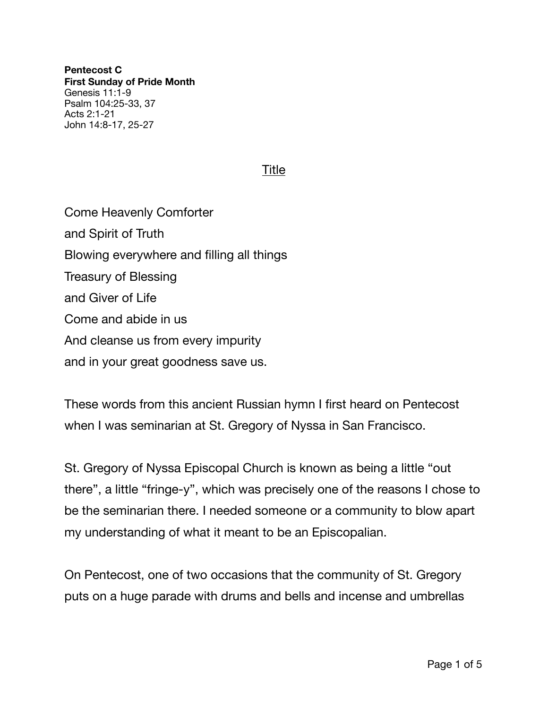**Pentecost C First Sunday of Pride Month**  Genesis 11:1-9 Psalm 104:25-33, 37 Acts 2:1-21 John 14:8-17, 25-27

## Title

Come Heavenly Comforter and Spirit of Truth Blowing everywhere and filling all things Treasury of Blessing and Giver of Life Come and abide in us And cleanse us from every impurity and in your great goodness save us.

These words from this ancient Russian hymn I first heard on Pentecost when I was seminarian at St. Gregory of Nyssa in San Francisco.

St. Gregory of Nyssa Episcopal Church is known as being a little "out there", a little "fringe-y", which was precisely one of the reasons I chose to be the seminarian there. I needed someone or a community to blow apart my understanding of what it meant to be an Episcopalian.

On Pentecost, one of two occasions that the community of St. Gregory puts on a huge parade with drums and bells and incense and umbrellas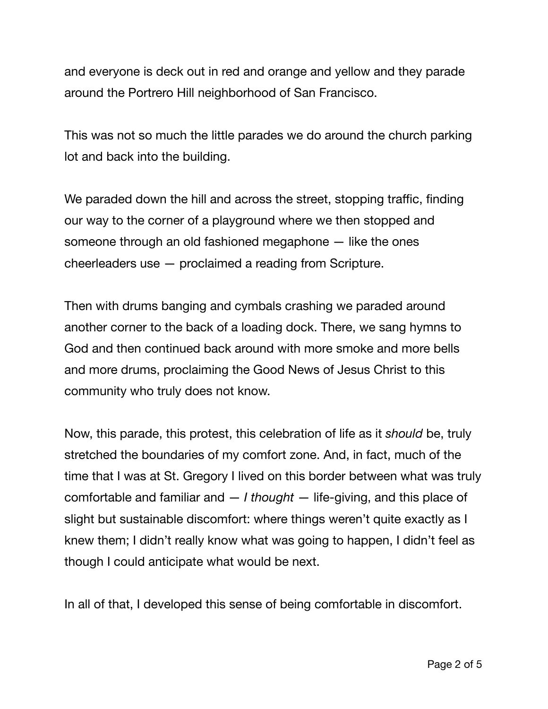and everyone is deck out in red and orange and yellow and they parade around the Portrero Hill neighborhood of San Francisco.

This was not so much the little parades we do around the church parking lot and back into the building.

We paraded down the hill and across the street, stopping traffic, finding our way to the corner of a playground where we then stopped and someone through an old fashioned megaphone — like the ones cheerleaders use — proclaimed a reading from Scripture.

Then with drums banging and cymbals crashing we paraded around another corner to the back of a loading dock. There, we sang hymns to God and then continued back around with more smoke and more bells and more drums, proclaiming the Good News of Jesus Christ to this community who truly does not know.

Now, this parade, this protest, this celebration of life as it *should* be, truly stretched the boundaries of my comfort zone. And, in fact, much of the time that I was at St. Gregory I lived on this border between what was truly comfortable and familiar and — *I thought* — life-giving, and this place of slight but sustainable discomfort: where things weren't quite exactly as I knew them; I didn't really know what was going to happen, I didn't feel as though I could anticipate what would be next.

In all of that, I developed this sense of being comfortable in discomfort.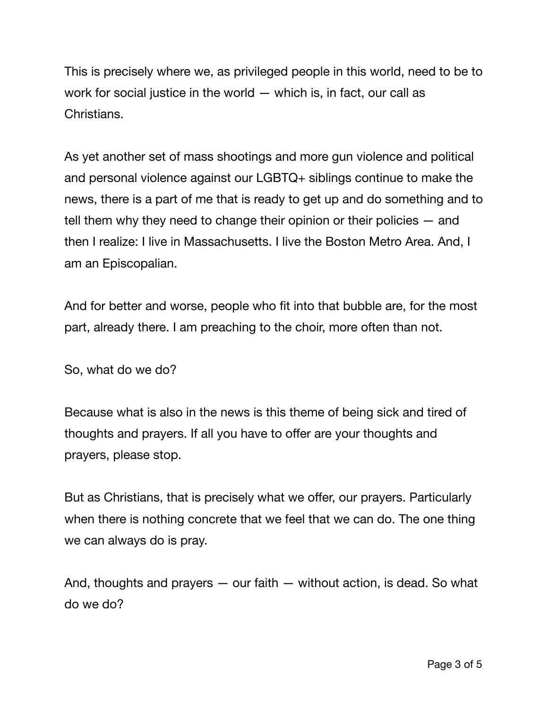This is precisely where we, as privileged people in this world, need to be to work for social justice in the world — which is, in fact, our call as Christians.

As yet another set of mass shootings and more gun violence and political and personal violence against our LGBTQ+ siblings continue to make the news, there is a part of me that is ready to get up and do something and to tell them why they need to change their opinion or their policies — and then I realize: I live in Massachusetts. I live the Boston Metro Area. And, I am an Episcopalian.

And for better and worse, people who fit into that bubble are, for the most part, already there. I am preaching to the choir, more often than not.

So, what do we do?

Because what is also in the news is this theme of being sick and tired of thoughts and prayers. If all you have to offer are your thoughts and prayers, please stop.

But as Christians, that is precisely what we offer, our prayers. Particularly when there is nothing concrete that we feel that we can do. The one thing we can always do is pray.

And, thoughts and prayers — our faith — without action, is dead. So what do we do?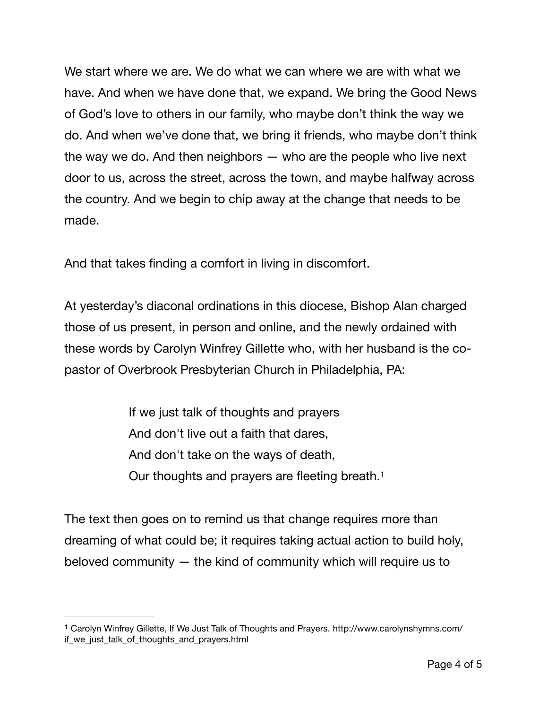We start where we are. We do what we can where we are with what we have. And when we have done that, we expand. We bring the Good News of God's love to others in our family, who maybe don't think the way we do. And when we've done that, we bring it friends, who maybe don't think the way we do. And then neighbors  $-$  who are the people who live next door to us, across the street, across the town, and maybe halfway across the country. And we begin to chip away at the change that needs to be made.

And that takes finding a comfort in living in discomfort.

At yesterday's diaconal ordinations in this diocese, Bishop Alan charged those of us present, in person and online, and the newly ordained with these words by Carolyn Winfrey Gillette who, with her husband is the copastor of Overbrook Presbyterian Church in Philadelphia, PA:

> <span id="page-3-1"></span>If we just talk of thoughts and prayers And don't live out a faith that dares, And don't take on the ways of death, Our thoughts and prayers are fleeting breath.[1](#page-3-0)

The text then goes on to remind us that change requires more than dreaming of what could be; it requires taking actual action to build holy, beloved community — the kind of community which will require us to

<span id="page-3-0"></span>Carolyn Winfrey Gillette, If We Just Talk of Thoughts and Prayers. http://www.carolynshymns.com/ [1](#page-3-1) if\_we\_just\_talk\_of\_thoughts\_and\_prayers.html